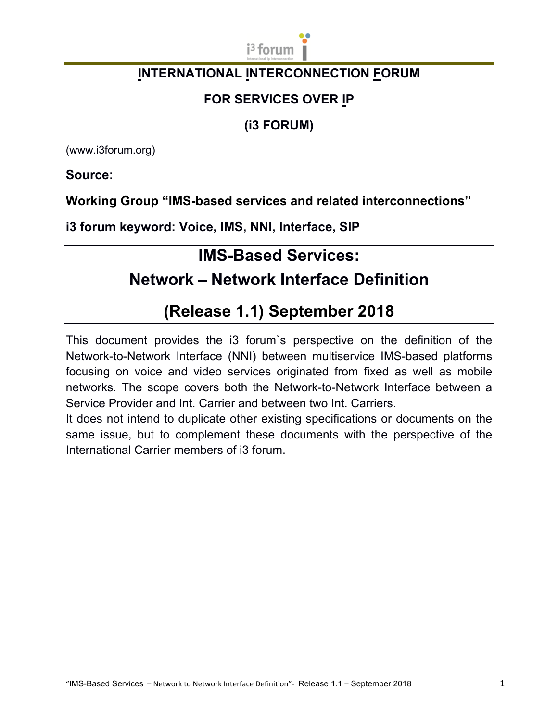

# **INTERNATIONAL INTERCONNECTION FORUM**

# **FOR SERVICES OVER IP**

**(i3 FORUM)**

(www.i3forum.org)

**Source:**

**Working Group "IMS-based services and related interconnections"**

**i3 forum keyword: Voice, IMS, NNI, Interface, SIP**

# **IMS-Based Services:**

# **Network** – **Network Interface Definition**

# **(Release 1.1) September 2018**

This document provides the i3 forum`s perspective on the definition of the Network-to-Network Interface (NNI) between multiservice IMS-based platforms focusing on voice and video services originated from fixed as well as mobile networks. The scope covers both the Network-to-Network Interface between a Service Provider and Int. Carrier and between two Int. Carriers.

It does not intend to duplicate other existing specifications or documents on the same issue, but to complement these documents with the perspective of the International Carrier members of i3 forum.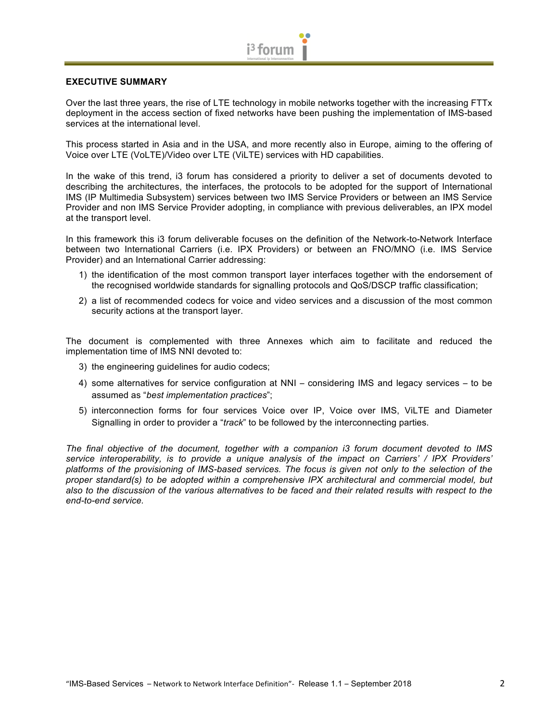#### **EXECUTIVE SUMMARY**

Over the last three years, the rise of LTE technology in mobile networks together with the increasing FTTx deployment in the access section of fixed networks have been pushing the implementation of IMS-based services at the international level.

i<sup>3</sup> forum

This process started in Asia and in the USA, and more recently also in Europe, aiming to the offering of Voice over LTE (VoLTE)/Video over LTE (ViLTE) services with HD capabilities.

In the wake of this trend, i3 forum has considered a priority to deliver a set of documents devoted to describing the architectures, the interfaces, the protocols to be adopted for the support of International IMS (IP Multimedia Subsystem) services between two IMS Service Providers or between an IMS Service Provider and non IMS Service Provider adopting, in compliance with previous deliverables, an IPX model at the transport level.

In this framework this i3 forum deliverable focuses on the definition of the Network-to-Network Interface between two International Carriers (i.e. IPX Providers) or between an FNO/MNO (i.e. IMS Service Provider) and an International Carrier addressing:

- 1) the identification of the most common transport layer interfaces together with the endorsement of the recognised worldwide standards for signalling protocols and QoS/DSCP traffic classification;
- 2) a list of recommended codecs for voice and video services and a discussion of the most common security actions at the transport layer.

The document is complemented with three Annexes which aim to facilitate and reduced the implementation time of IMS NNI devoted to:

- 3) the engineering guidelines for audio codecs;
- 4) some alternatives for service configuration at NNI considering IMS and legacy services to be assumed as "*best implementation practices*";
- 5) interconnection forms for four services Voice over IP, Voice over IMS, ViLTE and Diameter Signalling in order to provider a "*track*" to be followed by the interconnecting parties.

*The final objective of the document, together with a companion i3 forum document devoted to IMS service interoperability, is to provide a unique analysis of the impact on Carriers' / IPX Providers'* platforms of the provisioning of IMS-based services. The focus is given not only to the selection of the *proper standard(s) to be adopted within a comprehensive IPX architectural and commercial model, but* also to the discussion of the various alternatives to be faced and their related results with respect to the *end-to-end service.*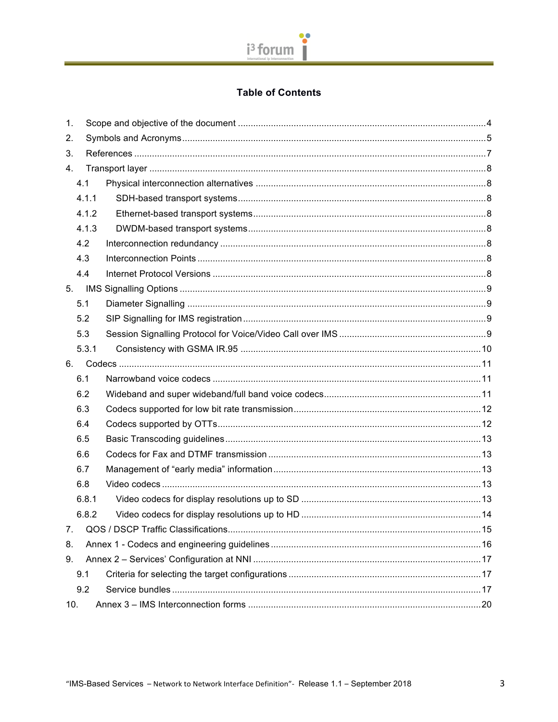

### **Table of Contents**

| 1.  |       |  |  |  |  |  |
|-----|-------|--|--|--|--|--|
| 2.  |       |  |  |  |  |  |
| 3.  |       |  |  |  |  |  |
| 4.  |       |  |  |  |  |  |
|     | 4.1   |  |  |  |  |  |
|     | 4.1.1 |  |  |  |  |  |
|     | 4.1.2 |  |  |  |  |  |
|     | 4.1.3 |  |  |  |  |  |
|     | 4.2   |  |  |  |  |  |
|     | 4.3   |  |  |  |  |  |
|     | 4.4   |  |  |  |  |  |
| 5.  |       |  |  |  |  |  |
|     | 5.1   |  |  |  |  |  |
|     | 5.2   |  |  |  |  |  |
|     | 5.3   |  |  |  |  |  |
|     | 5.3.1 |  |  |  |  |  |
| 6.  |       |  |  |  |  |  |
|     | 6.1   |  |  |  |  |  |
|     | 6.2   |  |  |  |  |  |
|     | 6.3   |  |  |  |  |  |
|     | 6.4   |  |  |  |  |  |
|     | 6.5   |  |  |  |  |  |
|     | 6.6   |  |  |  |  |  |
|     | 6.7   |  |  |  |  |  |
|     | 6.8   |  |  |  |  |  |
|     | 6.8.1 |  |  |  |  |  |
|     | 6.8.2 |  |  |  |  |  |
| 7.  |       |  |  |  |  |  |
| 8.  |       |  |  |  |  |  |
| 9.  |       |  |  |  |  |  |
|     | 9.1   |  |  |  |  |  |
|     | 9.2   |  |  |  |  |  |
| 10. |       |  |  |  |  |  |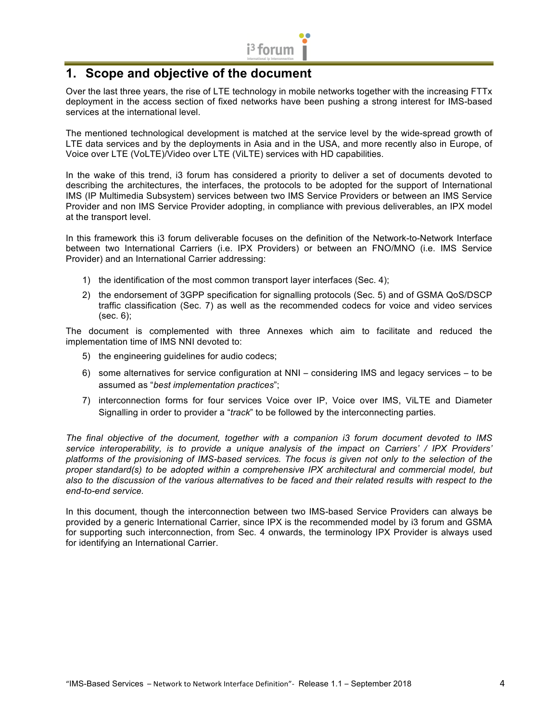

# **1. Scope and objective of the document**

Over the last three years, the rise of LTE technology in mobile networks together with the increasing FTTx deployment in the access section of fixed networks have been pushing a strong interest for IMS-based services at the international level.

The mentioned technological development is matched at the service level by the wide-spread growth of LTE data services and by the deployments in Asia and in the USA, and more recently also in Europe, of Voice over LTE (VoLTE)/Video over LTE (ViLTE) services with HD capabilities.

In the wake of this trend, i3 forum has considered a priority to deliver a set of documents devoted to describing the architectures, the interfaces, the protocols to be adopted for the support of International IMS (IP Multimedia Subsystem) services between two IMS Service Providers or between an IMS Service Provider and non IMS Service Provider adopting, in compliance with previous deliverables, an IPX model at the transport level.

In this framework this i3 forum deliverable focuses on the definition of the Network-to-Network Interface between two International Carriers (i.e. IPX Providers) or between an FNO/MNO (i.e. IMS Service Provider) and an International Carrier addressing:

- 1) the identification of the most common transport layer interfaces (Sec. 4);
- 2) the endorsement of 3GPP specification for signalling protocols (Sec. 5) and of GSMA QoS/DSCP traffic classification (Sec. 7) as well as the recommended codecs for voice and video services (sec. 6);

The document is complemented with three Annexes which aim to facilitate and reduced the implementation time of IMS NNI devoted to:

- 5) the engineering guidelines for audio codecs;
- 6) some alternatives for service configuration at NNI considering IMS and legacy services to be assumed as "*best implementation practices*";
- 7) interconnection forms for four services Voice over IP, Voice over IMS, ViLTE and Diameter Signalling in order to provider a "*track*" to be followed by the interconnecting parties.

*The final objective of the document, together with a companion i3 forum document devoted to IMS service interoperability, is to provide a unique analysis of the impact on Carriers' / IPX Providers'* platforms of the provisioning of IMS-based services. The focus is given not only to the selection of the *proper standard(s) to be adopted within a comprehensive IPX architectural and commercial model, but* also to the discussion of the various alternatives to be faced and their related results with respect to the *end-to-end service.*

In this document, though the interconnection between two IMS-based Service Providers can always be provided by a generic International Carrier, since IPX is the recommended model by i3 forum and GSMA for supporting such interconnection, from Sec. 4 onwards, the terminology IPX Provider is always used for identifying an International Carrier.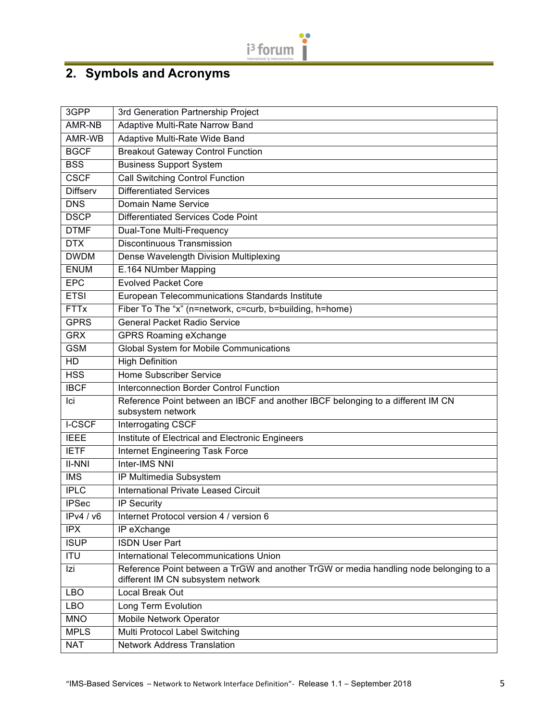# **2. Symbols and Acronyms**

| 3GPP          | 3rd Generation Partnership Project                                                                                         |
|---------------|----------------------------------------------------------------------------------------------------------------------------|
| AMR-NB        | <b>Adaptive Multi-Rate Narrow Band</b>                                                                                     |
| AMR-WB        | Adaptive Multi-Rate Wide Band                                                                                              |
| <b>BGCF</b>   | <b>Breakout Gateway Control Function</b>                                                                                   |
| <b>BSS</b>    | <b>Business Support System</b>                                                                                             |
| <b>CSCF</b>   | <b>Call Switching Control Function</b>                                                                                     |
| Diffserv      | <b>Differentiated Services</b>                                                                                             |
| <b>DNS</b>    | Domain Name Service                                                                                                        |
| <b>DSCP</b>   | Differentiated Services Code Point                                                                                         |
| <b>DTMF</b>   | Dual-Tone Multi-Frequency                                                                                                  |
| <b>DTX</b>    | Discontinuous Transmission                                                                                                 |
| <b>DWDM</b>   | Dense Wavelength Division Multiplexing                                                                                     |
| <b>ENUM</b>   | E.164 NUmber Mapping                                                                                                       |
| <b>EPC</b>    | <b>Evolved Packet Core</b>                                                                                                 |
| <b>ETSI</b>   | European Telecommunications Standards Institute                                                                            |
| <b>FTTx</b>   | Fiber To The "x" (n=network, c=curb, b=building, h=home)                                                                   |
| <b>GPRS</b>   | <b>General Packet Radio Service</b>                                                                                        |
| <b>GRX</b>    | <b>GPRS Roaming eXchange</b>                                                                                               |
| <b>GSM</b>    | Global System for Mobile Communications                                                                                    |
| HD            | <b>High Definition</b>                                                                                                     |
| <b>HSS</b>    | <b>Home Subscriber Service</b>                                                                                             |
| <b>IBCF</b>   | Interconnection Border Control Function                                                                                    |
| Ici           | Reference Point between an IBCF and another IBCF belonging to a different IM CN                                            |
|               | subsystem network                                                                                                          |
| <b>I-CSCF</b> | Interrogating CSCF                                                                                                         |
| <b>IEEE</b>   | Institute of Electrical and Electronic Engineers                                                                           |
| <b>IETF</b>   | Internet Engineering Task Force                                                                                            |
| <b>II-NNI</b> | Inter-IMS NNI                                                                                                              |
| <b>IMS</b>    | IP Multimedia Subsystem                                                                                                    |
| <b>IPLC</b>   | <b>International Private Leased Circuit</b>                                                                                |
| <b>IPSec</b>  | IP Security                                                                                                                |
| IPv4 / v6     | Internet Protocol version 4 / version 6                                                                                    |
| <b>IPX</b>    | IP eXchange                                                                                                                |
| <b>ISUP</b>   | <b>ISDN User Part</b>                                                                                                      |
| <b>ITU</b>    | International Telecommunications Union                                                                                     |
| Izi           | Reference Point between a TrGW and another TrGW or media handling node belonging to a<br>different IM CN subsystem network |
| <b>LBO</b>    | Local Break Out                                                                                                            |
| <b>LBO</b>    | Long Term Evolution                                                                                                        |
| <b>MNO</b>    | Mobile Network Operator                                                                                                    |
| <b>MPLS</b>   | Multi Protocol Label Switching                                                                                             |
| <b>NAT</b>    | <b>Network Address Translation</b>                                                                                         |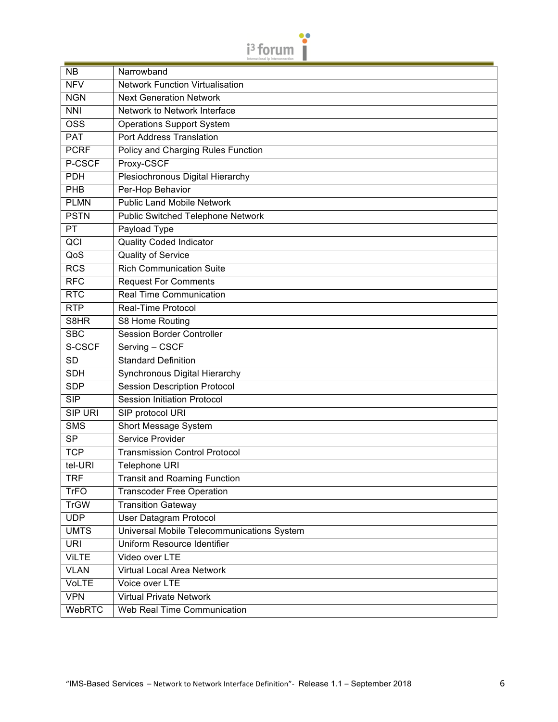| forum            |                                            |  |  |  |
|------------------|--------------------------------------------|--|--|--|
| <b>NB</b>        | Narrowband                                 |  |  |  |
| <b>NFV</b>       | <b>Network Function Virtualisation</b>     |  |  |  |
| <b>NGN</b>       | <b>Next Generation Network</b>             |  |  |  |
| <b>NNI</b>       | Network to Network Interface               |  |  |  |
| <b>OSS</b>       | <b>Operations Support System</b>           |  |  |  |
| <b>PAT</b>       | Port Address Translation                   |  |  |  |
| <b>PCRF</b>      | Policy and Charging Rules Function         |  |  |  |
| P-CSCF           | Proxy-CSCF                                 |  |  |  |
| <b>PDH</b>       | Plesiochronous Digital Hierarchy           |  |  |  |
| PHB              | Per-Hop Behavior                           |  |  |  |
| <b>PLMN</b>      | <b>Public Land Mobile Network</b>          |  |  |  |
| <b>PSTN</b>      | <b>Public Switched Telephone Network</b>   |  |  |  |
| PT               | Payload Type                               |  |  |  |
| $\overline{QCI}$ | <b>Quality Coded Indicator</b>             |  |  |  |
| QoS              | <b>Quality of Service</b>                  |  |  |  |
| $\overline{RCS}$ | <b>Rich Communication Suite</b>            |  |  |  |
| <b>RFC</b>       | <b>Request For Comments</b>                |  |  |  |
| <b>RTC</b>       | <b>Real Time Communication</b>             |  |  |  |
| <b>RTP</b>       | <b>Real-Time Protocol</b>                  |  |  |  |
| S8HR             | S8 Home Routing                            |  |  |  |
| <b>SBC</b>       | <b>Session Border Controller</b>           |  |  |  |
| S-CSCF           | Serving - CSCF                             |  |  |  |
| <b>SD</b>        | <b>Standard Definition</b>                 |  |  |  |
| <b>SDH</b>       | Synchronous Digital Hierarchy              |  |  |  |
| <b>SDP</b>       | <b>Session Description Protocol</b>        |  |  |  |
| SIP              | <b>Session Initiation Protocol</b>         |  |  |  |
| <b>SIP URI</b>   | SIP protocol URI                           |  |  |  |
| <b>SMS</b>       | Short Message System                       |  |  |  |
| SP               | <b>Service Provider</b>                    |  |  |  |
| <b>TCP</b>       | <b>Transmission Control Protocol</b>       |  |  |  |
| tel-URI          | Telephone URI                              |  |  |  |
| <b>TRF</b>       | <b>Transit and Roaming Function</b>        |  |  |  |
| <b>TrFO</b>      | <b>Transcoder Free Operation</b>           |  |  |  |
| <b>TrGW</b>      | <b>Transition Gateway</b>                  |  |  |  |
| <b>UDP</b>       | <b>User Datagram Protocol</b>              |  |  |  |
| <b>UMTS</b>      | Universal Mobile Telecommunications System |  |  |  |
| <b>URI</b>       | Uniform Resource Identifier                |  |  |  |
| <b>ViLTE</b>     | Video over LTE                             |  |  |  |
| <b>VLAN</b>      | Virtual Local Area Network                 |  |  |  |
| <b>VoLTE</b>     | Voice over LTE                             |  |  |  |
| <b>VPN</b>       | <b>Virtual Private Network</b>             |  |  |  |
| WebRTC           | Web Real Time Communication                |  |  |  |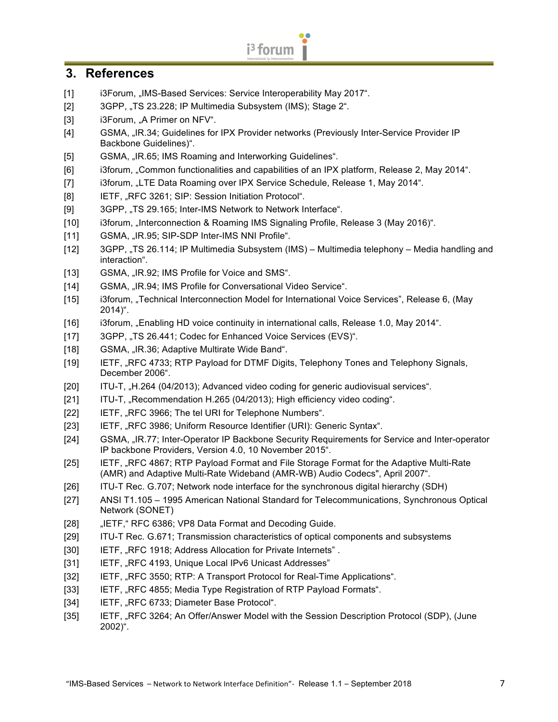## **3. References**

- [1] i3Forum, "IMS-Based Services: Service Interoperability May 2017".
- [2] 3GPP, "TS 23.228; IP Multimedia Subsystem (IMS); Stage 2".
- [3] i3Forum, "A Primer on NFV".
- [4] GSMA, "IR.34; Guidelines for IPX Provider networks (Previously Inter-Service Provider IP Backbone Guidelines)".

i<sup>3</sup> forum

- [5] GSMA, "IR.65; IMS Roaming and Interworking Guidelines".
- [6] i3forum, "Common functionalities and capabilities of an IPX platform, Release 2, May 2014".
- [7] i3forum, "LTE Data Roaming over IPX Service Schedule, Release 1, May 2014".
- [8] IETF, "RFC 3261; SIP: Session Initiation Protocol".
- [9] 3GPP, "TS 29.165; Inter-IMS Network to Network Interface".
- [10] i3forum, "Interconnection & Roaming IMS Signaling Profile, Release 3 (May 2016)".
- [11] GSMA, "IR.95; SIP-SDP Inter-IMS NNI Profile".
- [12] 3GPP, "TS 26.114; IP Multimedia Subsystem (IMS) Multimedia telephony Media handling and interaction".
- [13] GSMA, "IR.92; IMS Profile for Voice and SMS".
- [14] GSMA, "IR.94; IMS Profile for Conversational Video Service".
- [15] i3forum, "Technical Interconnection Model for International Voice Services", Release 6, (May 2014)".
- [16] i3forum, "Enabling HD voice continuity in international calls, Release 1.0, May 2014".
- [17] 3GPP, "TS 26.441; Codec for Enhanced Voice Services (EVS)".
- [18] GSMA, "IR.36; Adaptive Multirate Wide Band".
- [19] IETF, "RFC 4733; RTP Payload for DTMF Digits, Telephony Tones and Telephony Signals, December 2006".
- [20] ITU-T, "H.264 (04/2013); Advanced video coding for generic audiovisual services".
- [21] ITU-T, "Recommendation H.265 (04/2013); High efficiency video coding".
- [22] IETF, "RFC 3966; The tel URI for Telephone Numbers".
- [23] IETF, "RFC 3986; Uniform Resource Identifier (URI): Generic Syntax".
- [24] GSMA, "IR.77; Inter-Operator IP Backbone Security Requirements for Service and Inter-operator IP backbone Providers, Version 4.0, 10 November 2015".
- [25] IETF, "RFC 4867; RTP Payload Format and File Storage Format for the Adaptive Multi-Rate (AMR) and Adaptive Multi-Rate Wideband (AMR-WB) Audio Codecs", April 2007".
- [26] ITU-T Rec. G.707; Network node interface for the synchronous digital hierarchy (SDH)
- [27] ANSI T1.105 1995 American National Standard for Telecommunications, Synchronous Optical Network (SONET)
- [28] .IETF, "RFC 6386; VP8 Data Format and Decoding Guide.
- [29] ITU-T Rec. G.671; Transmission characteristics of optical components and subsystems
- [30] IETF, "RFC 1918; Address Allocation for Private Internets".
- [31] IETF, "RFC 4193, Unique Local IPv6 Unicast Addresses"
- [32] IETF, "RFC 3550; RTP: A Transport Protocol for Real-Time Applications".
- [33] IETF, "RFC 4855; Media Type Registration of RTP Payload Formats".
- [34] IETF, "RFC 6733; Diameter Base Protocol".
- [35] IETF, "RFC 3264; An Offer/Answer Model with the Session Description Protocol (SDP), (June 2002)".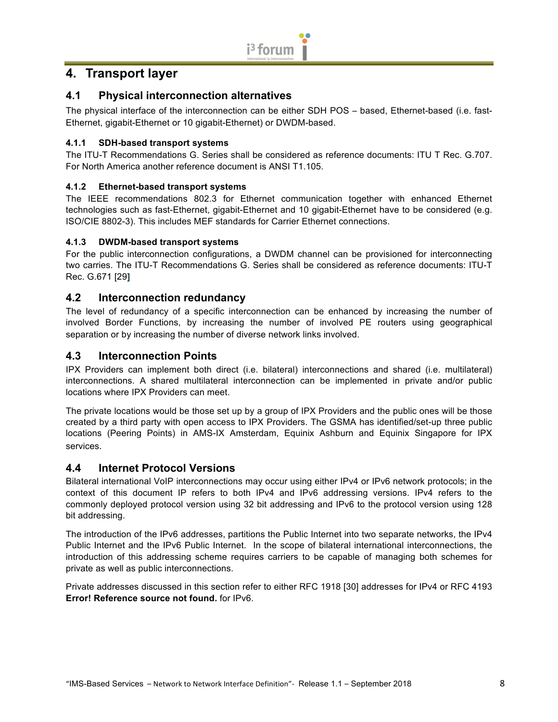# i<sup>3</sup> forum

## **4. Transport layer**

#### **4.1 Physical interconnection alternatives**

The physical interface of the interconnection can be either SDH POS – based, Ethernet-based (i.e. fast-Ethernet, gigabit-Ethernet or 10 gigabit-Ethernet) or DWDM-based.

#### **4.1.1 SDH-based transport systems**

The ITU-T Recommendations G. Series shall be considered as reference documents: ITU T Rec. G.707. For North America another reference document is ANSI T1.105.

#### **4.1.2 Ethernet-based transport systems**

The IEEE recommendations 802.3 for Ethernet communication together with enhanced Ethernet technologies such as fast-Ethernet, gigabit-Ethernet and 10 gigabit-Ethernet have to be considered (e.g. ISO/CIE 8802-3). This includes MEF standards for Carrier Ethernet connections.

#### **4.1.3 DWDM-based transport systems**

For the public interconnection configurations, a DWDM channel can be provisioned for interconnecting two carries. The ITU-T Recommendations G. Series shall be considered as reference documents: ITU-T Rec. G.671 [29**]**

#### **4.2 Interconnection redundancy**

The level of redundancy of a specific interconnection can be enhanced by increasing the number of involved Border Functions, by increasing the number of involved PE routers using geographical separation or by increasing the number of diverse network links involved.

#### **4.3 Interconnection Points**

IPX Providers can implement both direct (i.e. bilateral) interconnections and shared (i.e. multilateral) interconnections. A shared multilateral interconnection can be implemented in private and/or public locations where IPX Providers can meet.

The private locations would be those set up by a group of IPX Providers and the public ones will be those created by a third party with open access to IPX Providers. The GSMA has identified/set-up three public locations (Peering Points) in AMS-IX Amsterdam, Equinix Ashburn and Equinix Singapore for IPX services.

#### **4.4 Internet Protocol Versions**

Bilateral international VoIP interconnections may occur using either IPv4 or IPv6 network protocols; in the context of this document IP refers to both IPv4 and IPv6 addressing versions. IPv4 refers to the commonly deployed protocol version using 32 bit addressing and IPv6 to the protocol version using 128 bit addressing.

The introduction of the IPv6 addresses, partitions the Public Internet into two separate networks, the IPv4 Public Internet and the IPv6 Public Internet. In the scope of bilateral international interconnections, the introduction of this addressing scheme requires carriers to be capable of managing both schemes for private as well as public interconnections.

Private addresses discussed in this section refer to either RFC 1918 [30] addresses for IPv4 or RFC 4193 **Error! Reference source not found.** for IPv6.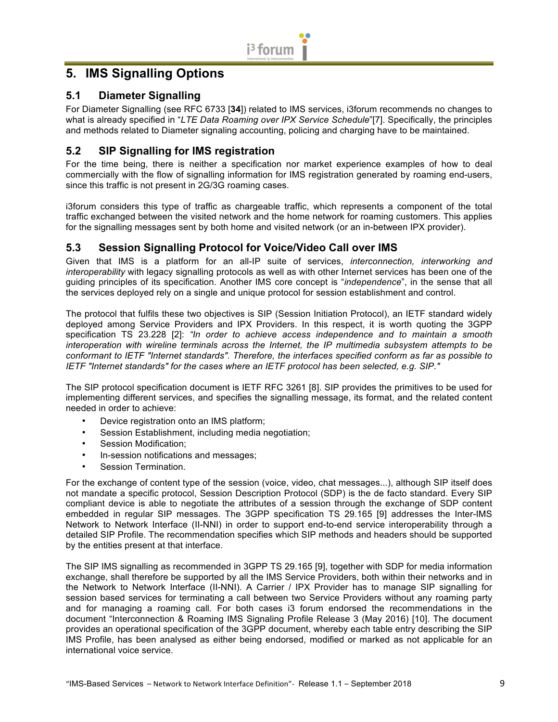# **5. IMS Signalling Options**

#### **5.1 Diameter Signalling**

For Diameter Signalling (see RFC 6733 [**34**]) related to IMS services, i3forum recommends no changes to what is already specified in "*LTE Data Roaming over IPX Service Schedule*"[7]. Specifically, the principles and methods related to Diameter signaling accounting, policing and charging have to be maintained.

#### **5.2 SIP Signalling for IMS registration**

For the time being, there is neither a specification nor market experience examples of how to deal commercially with the flow of signalling information for IMS registration generated by roaming end-users, since this traffic is not present in 2G/3G roaming cases.

i3forum considers this type of traffic as chargeable traffic, which represents a component of the total traffic exchanged between the visited network and the home network for roaming customers. This applies for the signalling messages sent by both home and visited network (or an in-between IPX provider).

#### **5.3 Session Signalling Protocol for Voice/Video Call over IMS**

Given that IMS is a platform for an all-IP suite of services, *interconnection, interworking and interoperability* with legacy signalling protocols as well as with other Internet services has been one of the guiding principles of its specification. Another IMS core concept is "*independence*", in the sense that all the services deployed rely on a single and unique protocol for session establishment and control.

The protocol that fulfils these two objectives is SIP (Session Initiation Protocol), an IETF standard widely deployed among Service Providers and IPX Providers. In this respect, it is worth quoting the 3GPP specification TS 23.228 [2]: *"In order to achieve access independence and to maintain a smooth interoperation with wireline terminals across the Internet, the IP multimedia subsystem attempts to be conformant to IETF "Internet standards". Therefore, the interfaces specified conform as far as possible to IETF "Internet standards" for the cases where an IETF protocol has been selected, e.g. SIP."*

The SIP protocol specification document is IETF RFC 3261 [8]. SIP provides the primitives to be used for implementing different services, and specifies the signalling message, its format, and the related content needed in order to achieve:

- Device registration onto an IMS platform;
- Session Establishment, including media negotiation;
- Session Modification:
- In-session notifications and messages;
- Session Termination.

For the exchange of content type of the session (voice, video, chat messages...), although SIP itself does not mandate a specific protocol, Session Description Protocol (SDP) is the de facto standard. Every SIP compliant device is able to negotiate the attributes of a session through the exchange of SDP content embedded in regular SIP messages. The 3GPP specification TS 29.165 [9] addresses the Inter-IMS Network to Network Interface (II-NNI) in order to support end-to-end service interoperability through a detailed SIP Profile. The recommendation specifies which SIP methods and headers should be supported by the entities present at that interface.

The SIP IMS signalling as recommended in 3GPP TS 29.165 [9], together with SDP for media information exchange, shall therefore be supported by all the IMS Service Providers, both within their networks and in the Network to Network Interface (II-NNI). A Carrier / IPX Provider has to manage SIP signalling for session based services for terminating a call between two Service Providers without any roaming party and for managing a roaming call. For both cases i3 forum endorsed the recommendations in the document "Interconnection & Roaming IMS Signaling Profile Release 3 (May 2016) [10]. The document provides an operational specification of the 3GPP document, whereby each table entry describing the SIP IMS Profile, has been analysed as either being endorsed, modified or marked as not applicable for an international voice service.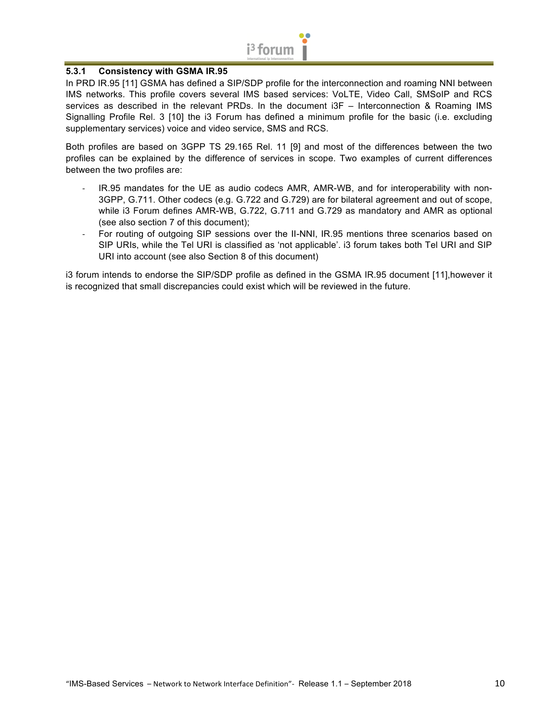

#### **5.3.1 Consistency with GSMA IR.95**

In PRD IR.95 [11] GSMA has defined a SIP/SDP profile for the interconnection and roaming NNI between IMS networks. This profile covers several IMS based services: VoLTE, Video Call, SMSoIP and RCS services as described in the relevant PRDs. In the document i3F - Interconnection & Roaming IMS Signalling Profile Rel. 3 [10] the i3 Forum has defined a minimum profile for the basic (i.e. excluding supplementary services) voice and video service, SMS and RCS.

Both profiles are based on 3GPP TS 29.165 Rel. 11 [9] and most of the differences between the two profiles can be explained by the difference of services in scope. Two examples of current differences between the two profiles are:

- IR.95 mandates for the UE as audio codecs AMR, AMR-WB, and for interoperability with non-3GPP, G.711. Other codecs (e.g. G.722 and G.729) are for bilateral agreement and out of scope, while i3 Forum defines AMR-WB, G.722, G.711 and G.729 as mandatory and AMR as optional (see also section 7 of this document);
- For routing of outgoing SIP sessions over the II-NNI, IR.95 mentions three scenarios based on SIP URIs, while the Tel URI is classified as 'not applicable'. i3 forum takes both Tel URI and SIP URI into account (see also Section 8 of this document)

i3 forum intends to endorse the SIP/SDP profile as defined in the GSMA IR.95 document [11],however it is recognized that small discrepancies could exist which will be reviewed in the future.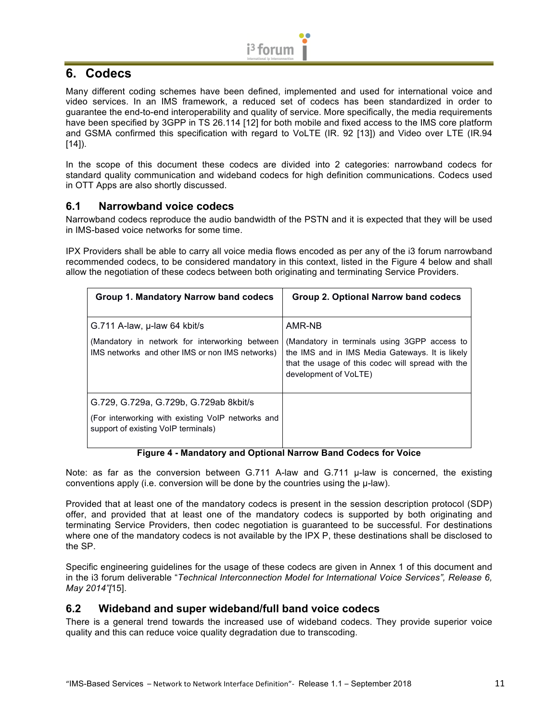## **6. Codecs**

Many different coding schemes have been defined, implemented and used for international voice and video services. In an IMS framework, a reduced set of codecs has been standardized in order to guarantee the end-to-end interoperability and quality of service. More specifically, the media requirements have been specified by 3GPP in TS 26.114 [12] for both mobile and fixed access to the IMS core platform and GSMA confirmed this specification with regard to VoLTE (IR. 92 [13]) and Video over LTE (IR.94  $[14]$ ).

i<sup>3</sup> forum

In the scope of this document these codecs are divided into 2 categories: narrowband codecs for standard quality communication and wideband codecs for high definition communications. Codecs used in OTT Apps are also shortly discussed.

#### **6.1 Narrowband voice codecs**

Narrowband codecs reproduce the audio bandwidth of the PSTN and it is expected that they will be used in IMS-based voice networks for some time.

IPX Providers shall be able to carry all voice media flows encoded as per any of the i3 forum narrowband recommended codecs, to be considered mandatory in this context, listed in the Figure 4 below and shall allow the negotiation of these codecs between both originating and terminating Service Providers.

| Group 1. Mandatory Narrow band codecs                                                                                                    | <b>Group 2. Optional Narrow band codecs</b>                                                                                                                                             |
|------------------------------------------------------------------------------------------------------------------------------------------|-----------------------------------------------------------------------------------------------------------------------------------------------------------------------------------------|
| $G.711$ A-law, $\mu$ -law 64 kbit/s<br>(Mandatory in network for interworking between<br>IMS networks and other IMS or non IMS networks) | AMR-NB<br>(Mandatory in terminals using 3GPP access to<br>the IMS and in IMS Media Gateways. It is likely<br>that the usage of this codec will spread with the<br>development of VoLTE) |
| G.729, G.729a, G.729b, G.729ab 8kbit/s<br>(For interworking with existing VoIP networks and<br>support of existing VoIP terminals)       |                                                                                                                                                                                         |

#### **Figure 4 - Mandatory and Optional Narrow Band Codecs for Voice**

Note: as far as the conversion between G.711 A-law and G.711 μ-law is concerned, the existing conventions apply (i.e. conversion will be done by the countries using the μ-law).

Provided that at least one of the mandatory codecs is present in the session description protocol (SDP) offer, and provided that at least one of the mandatory codecs is supported by both originating and terminating Service Providers, then codec negotiation is guaranteed to be successful. For destinations where one of the mandatory codecs is not available by the IPX P, these destinations shall be disclosed to the SP.

Specific engineering guidelines for the usage of these codecs are given in Annex 1 of this document and in the i3 forum deliverable "*Technical Interconnection Model for International Voice Services", Release 6, May 2014"[*15].

#### **6.2 Wideband and super wideband/full band voice codecs**

There is a general trend towards the increased use of wideband codecs. They provide superior voice quality and this can reduce voice quality degradation due to transcoding.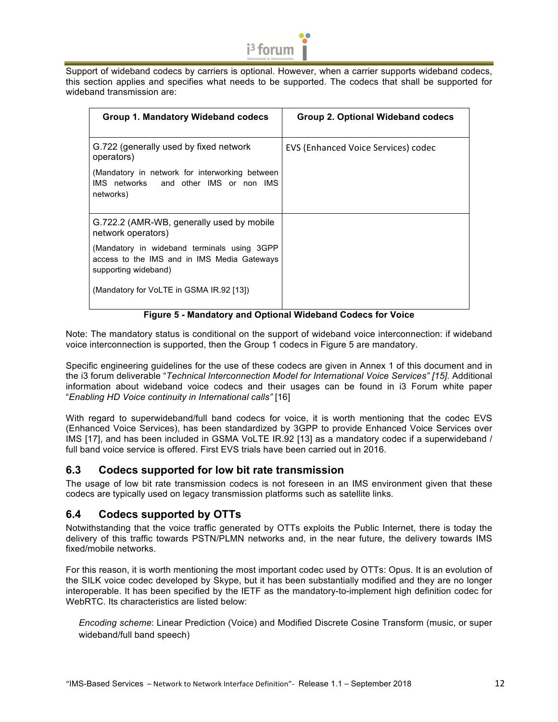

Support of wideband codecs by carriers is optional. However, when a carrier supports wideband codecs, this section applies and specifies what needs to be supported. The codecs that shall be supported for wideband transmission are:

| Group 1. Mandatory Wideband codecs                                                                                 | <b>Group 2. Optional Wideband codecs</b>                             |
|--------------------------------------------------------------------------------------------------------------------|----------------------------------------------------------------------|
| G.722 (generally used by fixed network<br>operators)                                                               | <b>EVS (Enhanced Voice Services) codec</b>                           |
| (Mandatory in network for interworking between<br>and other IMS or non IMS<br>IMS networks<br>networks)            |                                                                      |
| G.722.2 (AMR-WB, generally used by mobile<br>network operators)                                                    |                                                                      |
| (Mandatory in wideband terminals using 3GPP<br>access to the IMS and in IMS Media Gateways<br>supporting wideband) |                                                                      |
| (Mandatory for VoLTE in GSMA IR.92 [13])                                                                           | $\ldots$ . For Maximizing and Outline HMS discount Outline fun Mater |

#### **Figure 5 - Mandatory and Optional Wideband Codecs for Voice**

Note: The mandatory status is conditional on the support of wideband voice interconnection: if wideband voice interconnection is supported, then the Group 1 codecs in Figure 5 are mandatory.

Specific engineering guidelines for the use of these codecs are given in Annex 1 of this document and in the i3 forum deliverable "*Technical Interconnection Model for International Voice Services" [15].* Additional information about wideband voice codecs and their usages can be found in i3 Forum white paper "*Enabling HD Voice continuity in International calls"* [16]

With regard to superwideband/full band codecs for voice, it is worth mentioning that the codec EVS (Enhanced Voice Services), has been standardized by 3GPP to provide Enhanced Voice Services over IMS [17], and has been included in GSMA VoLTE IR.92 [13] as a mandatory codec if a superwideband / full band voice service is offered. First EVS trials have been carried out in 2016.

#### **6.3 Codecs supported for low bit rate transmission**

The usage of low bit rate transmission codecs is not foreseen in an IMS environment given that these codecs are typically used on legacy transmission platforms such as satellite links.

#### **6.4 Codecs supported by OTTs**

Notwithstanding that the voice traffic generated by OTTs exploits the Public Internet, there is today the delivery of this traffic towards PSTN/PLMN networks and, in the near future, the delivery towards IMS fixed/mobile networks.

For this reason, it is worth mentioning the most important codec used by OTTs: Opus. It is an evolution of the SILK voice codec developed by Skype, but it has been substantially modified and they are no longer interoperable. It has been specified by the IETF as the mandatory-to-implement high definition codec for WebRTC. Its characteristics are listed below:

*Encoding scheme*: Linear Prediction (Voice) and Modified Discrete Cosine Transform (music, or super wideband/full band speech)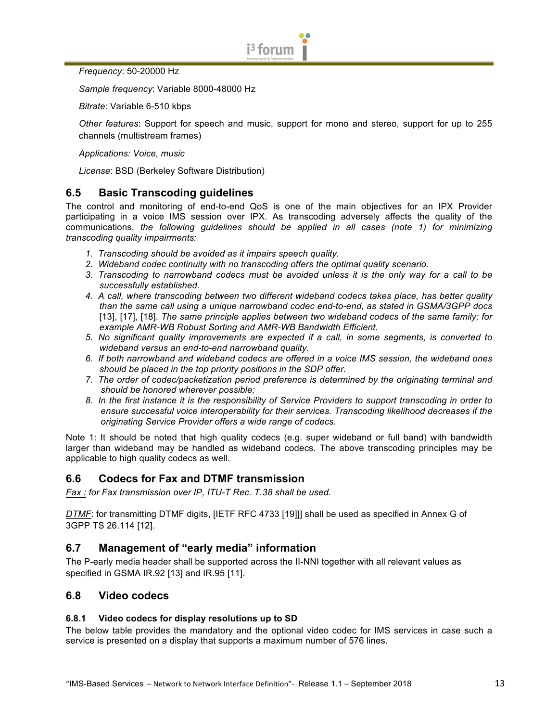

*Sample frequency*: Variable 8000-48000 Hz

*Bitrate*: Variable 6-510 kbps

*Other features*: Support for speech and music, support for mono and stereo, support for up to 255 channels (multistream frames)

i<sup>3</sup> forum

*Applications: Voice, music*

*License*: BSD (Berkeley Software Distribution)

#### **6.5 Basic Transcoding guidelines**

The control and monitoring of end-to-end QoS is one of the main objectives for an IPX Provider participating in a voice IMS session over IPX. As transcoding adversely affects the quality of the communications, *the following guidelines should be applied in all cases (note 1) for minimizing transcoding quality impairments:*

- *1. Transcoding should be avoided as it impairs speech quality.*
- *2. Wideband codec continuity with no transcoding offers the optimal quality scenario.*
- 3. Transcoding to narrowband codecs must be avoided unless it is the only way for a call to be *successfully established.*
- *4. A call, where transcoding between two different wideband codecs takes place, has better quality than the same call using a unique narrowband codec end-to-end, as stated in GSMA/3GPP docs* [13], [17], [18]. *The same principle applies between two wideband codecs of the same family; for example AMR-WB Robust Sorting and AMR-WB Bandwidth Efficient.*
- *5. No significant quality improvements are expected if a call, in some segments, is converted to wideband versus an end-to-end narrowband quality.*
- *6. If both narrowband and wideband codecs are offered in a voice IMS session, the wideband ones should be placed in the top priority positions in the SDP offer.*
- *7. The order of codec/packetization period preference is determined by the originating terminal and should be honored wherever possible;*
- 8. In the first instance it is the responsibility of Service Providers to support transcoding in order to *ensure successful voice interoperability for their services. Transcoding likelihood decreases if the originating Service Provider offers a wide range of codecs.*

Note 1: It should be noted that high quality codecs (e.g. super wideband or full band) with bandwidth larger than wideband may be handled as wideband codecs. The above transcoding principles may be applicable to high quality codecs as well.

#### **6.6 Codecs for Fax and DTMF transmission**

*Fax : for Fax transmission over IP, ITU-T Rec. T.38 shall be used*.

*DTMF*: for transmitting DTMF digits, [IETF RFC 4733 [19]]] shall be used as specified in Annex G of 3GPP TS 26.114 [12].

#### **6.7 Management of "early media" information**

The P-early media header shall be supported across the II-NNI together with all relevant values as specified in GSMA IR.92 [13] and IR.95 [11].

#### **6.8 Video codecs**

#### **6.8.1 Video codecs for display resolutions up to SD**

The below table provides the mandatory and the optional video codec for IMS services in case such a service is presented on a display that supports a maximum number of 576 lines.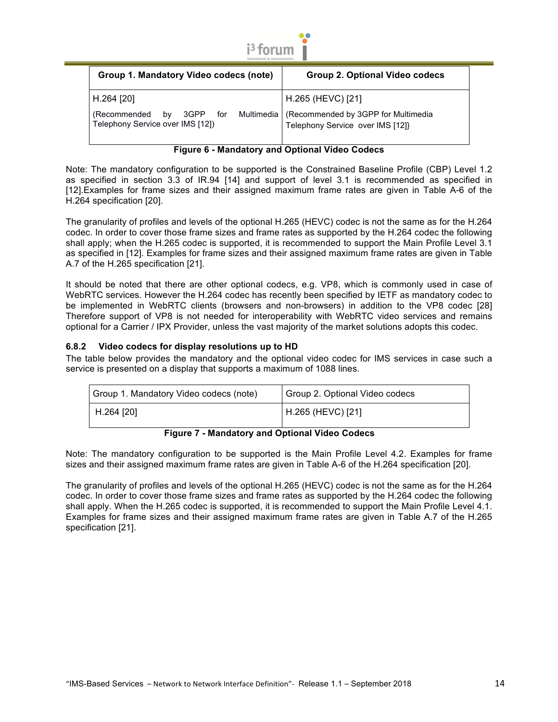

#### **Figure 6 - Mandatory and Optional Video Codecs**

Note: The mandatory configuration to be supported is the Constrained Baseline Profile (CBP) Level 1.2 as specified in section 3.3 of IR.94 [14] and support of level 3.1 is recommended as specified in [12].Examples for frame sizes and their assigned maximum frame rates are given in Table A-6 of the H.264 specification [20].

The granularity of profiles and levels of the optional H.265 (HEVC) codec is not the same as for the H.264 codec. In order to cover those frame sizes and frame rates as supported by the H.264 codec the following shall apply; when the H.265 codec is supported, it is recommended to support the Main Profile Level 3.1 as specified in [12]. Examples for frame sizes and their assigned maximum frame rates are given in Table A.7 of the H.265 specification [21].

It should be noted that there are other optional codecs, e.g. VP8, which is commonly used in case of WebRTC services. However the H.264 codec has recently been specified by IETF as mandatory codec to be implemented in WebRTC clients (browsers and non-browsers) in addition to the VP8 codec [28] Therefore support of VP8 is not needed for interoperability with WebRTC video services and remains optional for a Carrier / IPX Provider, unless the vast majority of the market solutions adopts this codec.

#### **6.8.2 Video codecs for display resolutions up to HD**

The table below provides the mandatory and the optional video codec for IMS services in case such a service is presented on a display that supports a maximum of 1088 lines.

| Group 1. Mandatory Video codecs (note) | Group 2. Optional Video codecs |  |  |
|----------------------------------------|--------------------------------|--|--|
| H.264 [20]                             | H.265 (HEVC) [21]              |  |  |

#### **Figure 7 - Mandatory and Optional Video Codecs**

Note: The mandatory configuration to be supported is the Main Profile Level 4.2. Examples for frame sizes and their assigned maximum frame rates are given in Table A-6 of the H.264 specification [20].

The granularity of profiles and levels of the optional H.265 (HEVC) codec is not the same as for the H.264 codec. In order to cover those frame sizes and frame rates as supported by the H.264 codec the following shall apply. When the H.265 codec is supported, it is recommended to support the Main Profile Level 4.1. Examples for frame sizes and their assigned maximum frame rates are given in Table A.7 of the H.265 specification [21].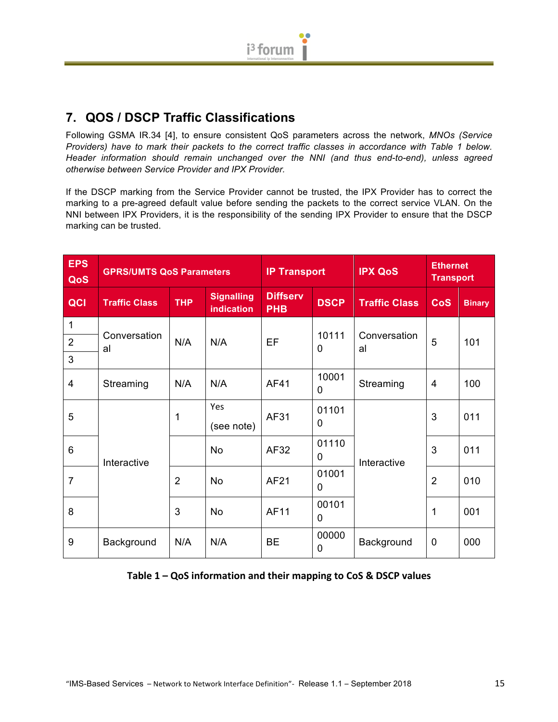# **7. QOS / DSCP Traffic Classifications**

Following GSMA IR.34 [4], to ensure consistent QoS parameters across the network, *MNOs (Service Providers) have to mark their packets to the correct traffic classes in accordance with Table 1 below. Header information should remain unchanged over the NNI (and thus end-to-end), unless agreed otherwise between Service Provider and IPX Provider.*

If the DSCP marking from the Service Provider cannot be trusted, the IPX Provider has to correct the marking to a pre-agreed default value before sending the packets to the correct service VLAN. On the NNI between IPX Providers, it is the responsibility of the sending IPX Provider to ensure that the DSCP marking can be trusted.

| <b>EPS</b><br>QoS | <b>GPRS/UMTS QoS Parameters</b> |                | <b>IP Transport</b>             |                               | <b>IPX QoS</b>          | <b>Ethernet</b><br><b>Transport</b> |                |               |
|-------------------|---------------------------------|----------------|---------------------------------|-------------------------------|-------------------------|-------------------------------------|----------------|---------------|
| QCI               | <b>Traffic Class</b>            | <b>THP</b>     | <b>Signalling</b><br>indication | <b>Diffserv</b><br><b>PHB</b> | <b>DSCP</b>             | <b>Traffic Class</b>                | <b>CoS</b>     | <b>Binary</b> |
| 1                 |                                 |                |                                 |                               | 10111                   | Conversation                        |                |               |
| $\overline{2}$    | Conversation<br>al              | N/A            | N/A                             | EF                            | $\overline{0}$          | al                                  | 5              | 101           |
| 3                 |                                 |                |                                 |                               |                         |                                     |                |               |
| $\overline{4}$    | Streaming                       | N/A            | N/A                             | <b>AF41</b>                   | 10001<br>0              | Streaming                           | 4              | 100           |
| 5                 |                                 | 1              | Yes                             | AF31                          | 01101                   |                                     | 3              | 011           |
|                   |                                 |                | (see note)                      |                               | 0                       |                                     |                |               |
| 6                 | Interactive                     |                | <b>No</b>                       | AF32                          | 01110<br>$\mathbf 0$    | Interactive                         | 3              | 011           |
| $\overline{7}$    |                                 | $\overline{2}$ | <b>No</b>                       | AF21                          | 01001<br>$\mathbf 0$    |                                     | $\overline{2}$ | 010           |
| 8                 |                                 | 3              | No                              | AF11                          | 00101<br>$\overline{0}$ |                                     | 1              | 001           |
| 9                 | Background                      | N/A            | N/A                             | <b>BE</b>                     | 00000<br>$\Omega$       | Background                          | 0              | 000           |

#### Table 1 – QoS information and their mapping to CoS & DSCP values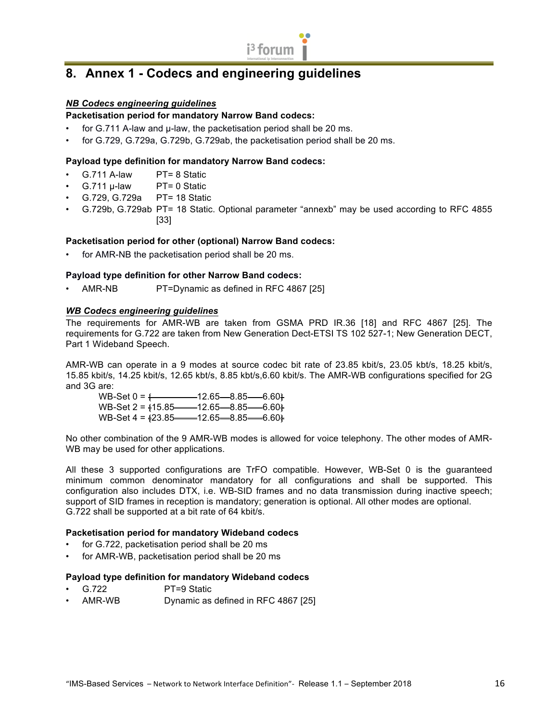

#### *NB Codecs engineering guidelines*

#### **Packetisation period for mandatory Narrow Band codecs:**

- for G.711 A-law and μ-law, the packetisation period shall be 20 ms.
- for G.729, G.729a, G.729b, G.729ab, the packetisation period shall be 20 ms.

#### **Payload type definition for mandatory Narrow Band codecs:**

- G.711 A-law PT= 8 Static
- G.711 μ-law PT= 0 Static
- G.729, G.729a PT= 18 Static
- G.729b, G.729ab PT= 18 Static. Optional parameter "annexb" may be used according to RFC 4855 [33]

i<sup>3</sup> forum

#### **Packetisation period for other (optional) Narrow Band codecs:**

• for AMR-NB the packetisation period shall be 20 ms.

#### **Payload type definition for other Narrow Band codecs:**

• AMR-NB PT=Dynamic as defined in RFC 4867 [25]

#### *WB Codecs engineering guidelines*

The requirements for AMR-WB are taken from GSMA PRD IR.36 [18] and RFC 4867 [25]. The requirements for G.722 are taken from New Generation Dect-ETSI TS 102 527-1; New Generation DECT, Part 1 Wideband Speech.

AMR-WB can operate in a 9 modes at source codec bit rate of 23.85 kbit/s, 23.05 kbt/s, 18.25 kbit/s, 15.85 kbit/s, 14.25 kbit/s, 12.65 kbt/s, 8.85 kbt/s,6.60 kbit/s. The AMR-WB configurations specified for 2G and 3G are:

 $WB-Set$  0 =  $\leftarrow$  12.65 - 8.85 - 6.60  $WB-Set$  2 =  $\frac{1}{3}$ 15.85 - 12.65 - 8.85 - 6.60<sup> $\frac{1}{3}$ </sup> WB-Set 4 =  $\frac{12.85}{200}$  = 12.65 8.85 6.60<sup> $\frac{1}{2}$ </sup>

No other combination of the 9 AMR-WB modes is allowed for voice telephony. The other modes of AMR-WB may be used for other applications.

All these 3 supported configurations are TrFO compatible. However, WB-Set 0 is the guaranteed minimum common denominator mandatory for all configurations and shall be supported. This configuration also includes DTX, i.e. WB-SID frames and no data transmission during inactive speech; support of SID frames in reception is mandatory; generation is optional. All other modes are optional. G.722 shall be supported at a bit rate of 64 kbit/s.

#### **Packetisation period for mandatory Wideband codecs**

- for G.722, packetisation period shall be 20 ms
- for AMR-WB, packetisation period shall be 20 ms

#### **Payload type definition for mandatory Wideband codecs**

- G.722 PT=9 Static
- AMR-WB Dynamic as defined in RFC 4867 [25]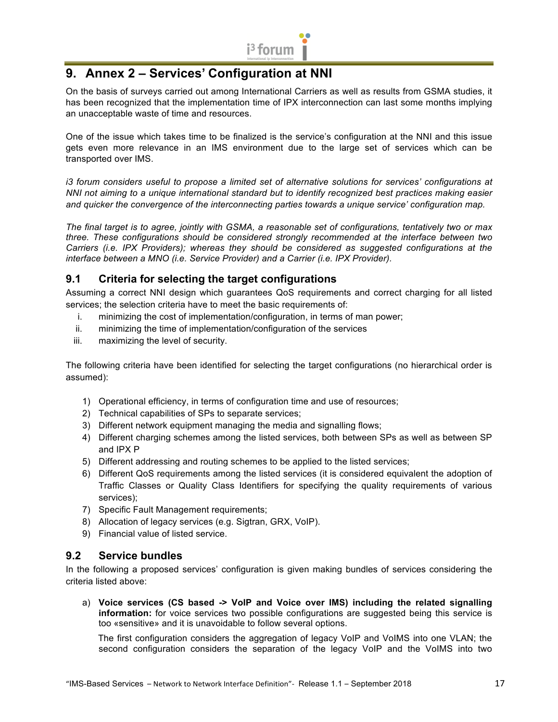

# **9. Annex 2 – Services' Configuration at NNI**

On the basis of surveys carried out among International Carriers as well as results from GSMA studies, it has been recognized that the implementation time of IPX interconnection can last some months implying an unacceptable waste of time and resources.

One of the issue which takes time to be finalized is the service's configuration at the NNI and this issue gets even more relevance in an IMS environment due to the large set of services which can be transported over IMS.

*i3 forum considers useful to propose a limited set of alternative solutions for services' configurations at NNI not aiming to a unique international standard but to identify recognized best practices making easier and quicker the convergence of the interconnecting parties towards a unique service' configuration map.*

*The final target is to agree, jointly with GSMA, a reasonable set of configurations, tentatively two or max three. These configurations should be considered strongly recommended at the interface between two Carriers (i.e. IPX Providers); whereas they should be considered as suggested configurations at the interface between a MNO (i.e. Service Provider) and a Carrier (i.e. IPX Provider).*

#### **9.1 Criteria for selecting the target configurations**

Assuming a correct NNI design which guarantees QoS requirements and correct charging for all listed services; the selection criteria have to meet the basic requirements of:

- i. minimizing the cost of implementation/configuration, in terms of man power;
- ii. minimizing the time of implementation/configuration of the services
- iii. maximizing the level of security.

The following criteria have been identified for selecting the target configurations (no hierarchical order is assumed):

- 1) Operational efficiency, in terms of configuration time and use of resources;
- 2) Technical capabilities of SPs to separate services;
- 3) Different network equipment managing the media and signalling flows;
- 4) Different charging schemes among the listed services, both between SPs as well as between SP and IPX P
- 5) Different addressing and routing schemes to be applied to the listed services;
- 6) Different QoS requirements among the listed services (it is considered equivalent the adoption of Traffic Classes or Quality Class Identifiers for specifying the quality requirements of various services);
- 7) Specific Fault Management requirements;
- 8) Allocation of legacy services (e.g. Sigtran, GRX, VoIP).
- 9) Financial value of listed service.

#### **9.2 Service bundles**

In the following a proposed services' configuration is given making bundles of services considering the criteria listed above:

a) **Voice services (CS based -> VoIP and Voice over IMS) including the related signalling information:** for voice services two possible configurations are suggested being this service is too «sensitive» and it is unavoidable to follow several options.

The first configuration considers the aggregation of legacy VoIP and VoIMS into one VLAN; the second configuration considers the separation of the legacy VoIP and the VoIMS into two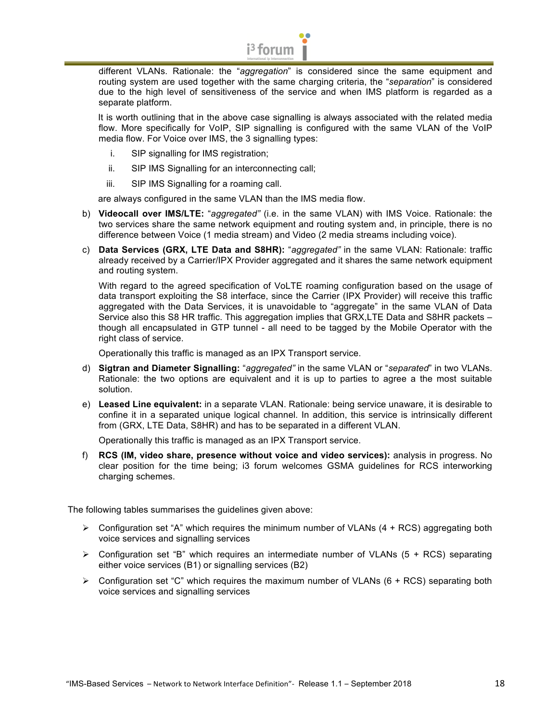

different VLANs. Rationale: the "*aggregation*" is considered since the same equipment and routing system are used together with the same charging criteria, the "*separation*" is considered due to the high level of sensitiveness of the service and when IMS platform is regarded as a separate platform.

It is worth outlining that in the above case signalling is always associated with the related media flow. More specifically for VoIP, SIP signalling is configured with the same VLAN of the VoIP media flow. For Voice over IMS, the 3 signalling types:

- i. SIP signalling for IMS registration;
- ii. SIP IMS Signalling for an interconnecting call;
- iii. SIP IMS Signalling for a roaming call.

are always configured in the same VLAN than the IMS media flow.

- b) **Videocall over IMS/LTE:** "*aggregated"* (i.e. in the same VLAN) with IMS Voice. Rationale: the two services share the same network equipment and routing system and, in principle, there is no difference between Voice (1 media stream) and Video (2 media streams including voice).
- c) **Data Services (GRX, LTE Data and S8HR):** "*aggregated"* in the same VLAN: Rationale: traffic already received by a Carrier/IPX Provider aggregated and it shares the same network equipment and routing system.

With regard to the agreed specification of VoLTE roaming configuration based on the usage of data transport exploiting the S8 interface, since the Carrier (IPX Provider) will receive this traffic aggregated with the Data Services, it is unavoidable to "aggregate" in the same VLAN of Data Service also this S8 HR traffic. This aggregation implies that GRX, LTE Data and S8HR packets though all encapsulated in GTP tunnel - all need to be tagged by the Mobile Operator with the right class of service.

Operationally this traffic is managed as an IPX Transport service.

- d) **Sigtran and Diameter Signalling:** "*aggregated"* in the same VLAN or "*separated*" in two VLANs. Rationale: the two options are equivalent and it is up to parties to agree a the most suitable solution.
- e) **Leased Line equivalent:** in a separate VLAN. Rationale: being service unaware, it is desirable to confine it in a separated unique logical channel. In addition, this service is intrinsically different from (GRX, LTE Data, S8HR) and has to be separated in a different VLAN.

Operationally this traffic is managed as an IPX Transport service.

f) **RCS (IM, video share, presence without voice and video services):** analysis in progress. No clear position for the time being; i3 forum welcomes GSMA guidelines for RCS interworking charging schemes.

The following tables summarises the guidelines given above:

- $\triangleright$  Configuration set "A" which requires the minimum number of VLANs (4 + RCS) aggregating both voice services and signalling services
- $\triangleright$  Configuration set "B" which requires an intermediate number of VLANs (5 + RCS) separating either voice services (B1) or signalling services (B2)
- $\triangleright$  Configuration set "C" which requires the maximum number of VLANs (6 + RCS) separating both voice services and signalling services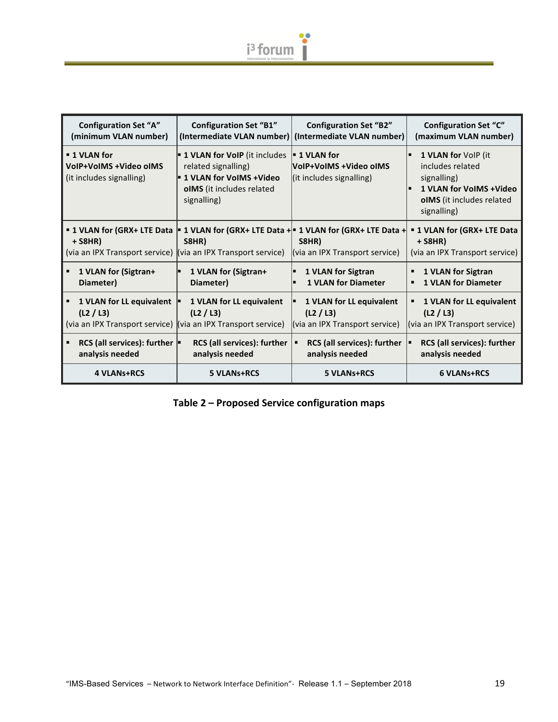

| <b>Configuration Set "A"</b><br>(minimum VLAN number)                                                         | <b>Configuration Set "B1"</b>                                                                                                                     | <b>Configuration Set "B2"</b><br>(Intermediate VLAN number)   (Intermediate VLAN number) | <b>Configuration Set "C"</b><br>(maximum VLAN number)                                                                          |
|---------------------------------------------------------------------------------------------------------------|---------------------------------------------------------------------------------------------------------------------------------------------------|------------------------------------------------------------------------------------------|--------------------------------------------------------------------------------------------------------------------------------|
| ■ 1 VLAN for<br>VolP+VoIMS +Video oIMS<br>(it includes signalling)                                            | <b>1 VLAN for VoIP</b> (it includes<br>related signalling)<br><b>E</b> 1 VLAN for VoIMS +Video<br><b>oIMS</b> (it includes related<br>signalling) | $\blacksquare$ 1 VLAN for<br>VoIP+VoIMS +Video oIMS<br>(it includes signalling)          | 1 VLAN for VolP (it<br>includes related<br>signalling)<br>1 VLAN for VoIMS + Video<br>olMS (it includes related<br>signalling) |
| <b>1 VLAN for (GRX+ LTE Data</b><br>$+$ S8HR)                                                                 | $\vert$ 1 VLAN for (GRX+ LTE Data + $\vert$ 1 VLAN for (GRX+ LTE Data +<br>S8HR)<br>(via an IPX Transport service) (via an IPX Transport service) | S8HR)<br>(via an IPX Transport service)                                                  | <b>1 VLAN for (GRX+ LTE Data</b><br>$+$ S8HR)<br>(via an IPX Transport service)                                                |
| 1 VLAN for (Sigtran+<br>Diameter)                                                                             | 1 VLAN for (Sigtran+<br>Diameter)                                                                                                                 | <b>1 VLAN for Sigtran</b><br><b>1 VLAN for Diameter</b>                                  | <b>1 VLAN for Sigtran</b><br><b>1 VLAN for Diameter</b>                                                                        |
| <b>1 VLAN for LL equivalent</b><br>(L2 / L3)<br>(via an IPX Transport service) (via an IPX Transport service) | <b>1 VLAN for LL equivalent</b><br>(L2 / L3)                                                                                                      | <b>1 VLAN for LL equivalent</b><br>(L2 / L3)<br>(via an IPX Transport service)           | <b>1 VLAN for LL equivalent</b><br>(L2 / L3)<br>(via an IPX Transport service)                                                 |
| RCS (all services): further  <br>analysis needed                                                              | RCS (all services): further<br>analysis needed                                                                                                    | RCS (all services): further<br>analysis needed                                           | RCS (all services): further<br>analysis needed                                                                                 |
| 4 VLAN <sub>s</sub> +RCS                                                                                      | 5 VLAN <sub>s</sub> +RCS                                                                                                                          | 5 VLAN <sub>s+RCS</sub>                                                                  | <b>6 VLANs+RCS</b>                                                                                                             |

Table 2 - Proposed Service configuration maps